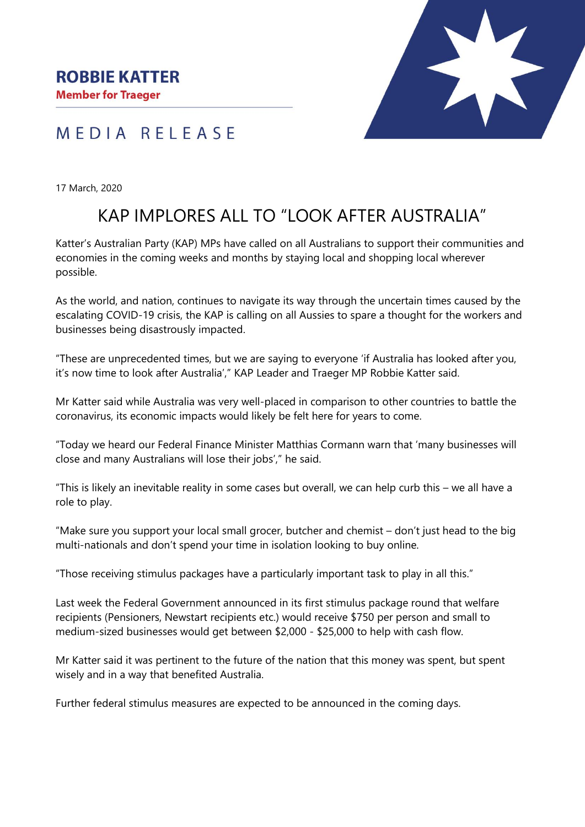



17 March, 2020

## KAP IMPLORES ALL TO "LOOK AFTER AUSTRALIA"

Katter's Australian Party (KAP) MPs have called on all Australians to support their communities and economies in the coming weeks and months by staying local and shopping local wherever possible.

As the world, and nation, continues to navigate its way through the uncertain times caused by the escalating COVID-19 crisis, the KAP is calling on all Aussies to spare a thought for the workers and businesses being disastrously impacted.

"These are unprecedented times, but we are saying to everyone 'if Australia has looked after you, it's now time to look after Australia'," KAP Leader and Traeger MP Robbie Katter said.

Mr Katter said while Australia was very well-placed in comparison to other countries to battle the coronavirus, its economic impacts would likely be felt here for years to come.

"Today we heard our Federal Finance Minister Matthias Cormann warn that 'many businesses will close and many Australians will lose their jobs'," he said.

"This is likely an inevitable reality in some cases but overall, we can help curb this – we all have a role to play.

"Make sure you support your local small grocer, butcher and chemist – don't just head to the big multi-nationals and don't spend your time in isolation looking to buy online.

"Those receiving stimulus packages have a particularly important task to play in all this."

Last week the Federal Government announced in its first stimulus package round that welfare recipients (Pensioners, Newstart recipients etc.) would receive \$750 per person and small to medium-sized businesses would get between \$2,000 - \$25,000 to help with cash flow.

Mr Katter said it was pertinent to the future of the nation that this money was spent, but spent wisely and in a way that benefited Australia.

Further federal stimulus measures are expected to be announced in the coming days.